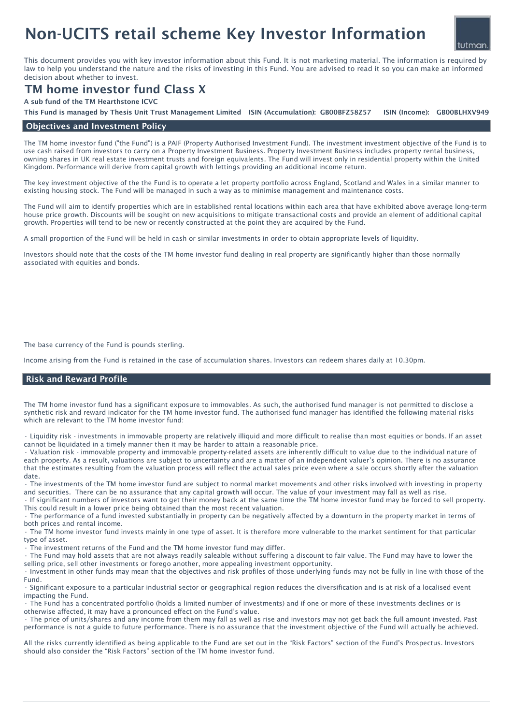# Non-UCITS retail scheme Key Investor Information



This document provides you with key investor information about this Fund. It is not marketing material. The information is required by law to help you understand the nature and the risks of investing in this Fund. You are advised to read it so you can make an informed decision about whether to invest.

## TM home investor fund Class X

A sub fund of the TM Hearthstone ICVC

ISIN (Income): GB00BLHXV949 This Fund is managed by Thesis Unit Trust Management Limited ISIN (Accumulation): GB00BFZ58Z57

### Objectives and Investment Policy

The TM home investor fund ("the Fund") is a PAIF (Property Authorised Investment Fund). The investment investment objective of the Fund is to use cash raised from investors to carry on a Property Investment Business. Property Investment Business includes property rental business, owning shares in UK real estate investment trusts and foreign equivalents. The Fund will invest only in residential property within the United Kingdom. Performance will derive from capital growth with lettings providing an additional income return.

The key investment objective of the the Fund is to operate a let property portfolio across England, Scotland and Wales in a similar manner to existing housing stock. The Fund will be managed in such a way as to minimise management and maintenance costs.

The Fund will aim to identify properties which are in established rental locations within each area that have exhibited above average long-term house price growth. Discounts will be sought on new acquisitions to mitigate transactional costs and provide an element of additional capital growth. Properties will tend to be new or recently constructed at the point they are acquired by the Fund.

A small proportion of the Fund will be held in cash or similar investments in order to obtain appropriate levels of liquidity.

Investors should note that the costs of the TM home investor fund dealing in real property are significantly higher than those normally associated with equities and bonds.

The base currency of the Fund is pounds sterling.

Income arising from the Fund is retained in the case of accumulation shares. Investors can redeem shares daily at 10.30pm.

#### Risk and Reward Profile

The TM home investor fund has a significant exposure to immovables. As such, the authorised fund manager is not permitted to disclose a synthetic risk and reward indicator for the TM home investor fund. The authorised fund manager has identified the following material risks which are relevant to the TM home investor fund:

• Liquidity risk - investments in immovable property are relatively illiquid and more difficult to realise than most equities or bonds. If an asset cannot be liquidated in a timely manner then it may be harder to attain a reasonable price.

• Valuation risk - immovable property and immovable property-related assets are inherently difficult to value due to the individual nature of each property. As a result, valuations are subject to uncertainty and are a matter of an independent valuer's opinion. There is no assurance that the estimates resulting from the valuation process will reflect the actual sales price even where a sale occurs shortly after the valuation date.

• The investments of the TM home investor fund are subject to normal market movements and other risks involved with investing in property and securities. There can be no assurance that any capital growth will occur. The value of your investment may fall as well as rise.

• If significant numbers of investors want to get their money back at the same time the TM home investor fund may be forced to sell property. This could result in a lower price being obtained than the most recent valuation.

• The performance of a fund invested substantially in property can be negatively affected by a downturn in the property market in terms of both prices and rental income.

• The TM home investor fund invests mainly in one type of asset. It is therefore more vulnerable to the market sentiment for that particular type of asset.

The investment returns of the Fund and the TM home investor fund may differ.

• The Fund may hold assets that are not always readily saleable without suffering a discount to fair value. The Fund may have to lower the selling price, sell other investments or forego another, more appealing investment opportunity.

• Investment in other funds may mean that the objectives and risk profiles of those underlying funds may not be fully in line with those of the Fund.

• Significant exposure to a particular industrial sector or geographical region reduces the diversification and is at risk of a localised event impacting the Fund.

• The Fund has a concentrated portfolio (holds a limited number of investments) and if one or more of these investments declines or is otherwise affected, it may have a pronounced effect on the Fund's value.

• The price of units/shares and any income from them may fall as well as rise and investors may not get back the full amount invested. Past performance is not a guide to future performance. There is no assurance that the investment objective of the Fund will actually be achieved.

All the risks currently identified as being applicable to the Fund are set out in the "Risk Factors" section of the Fund's Prospectus. Investors should also consider the "Risk Factors" section of the TM home investor fund.